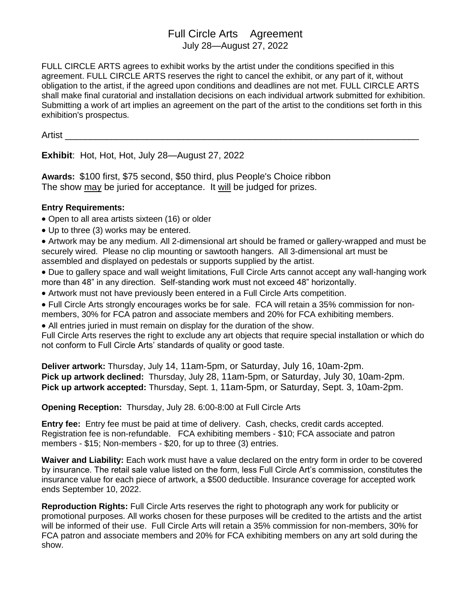## Full Circle Arts Agreement July 28—August 27, 2022

FULL CIRCLE ARTS agrees to exhibit works by the artist under the conditions specified in this agreement. FULL CIRCLE ARTS reserves the right to cancel the exhibit, or any part of it, without obligation to the artist, if the agreed upon conditions and deadlines are not met. FULL CIRCLE ARTS shall make final curatorial and installation decisions on each individual artwork submitted for exhibition. Submitting a work of art implies an agreement on the part of the artist to the conditions set forth in this exhibition's prospectus.

Artist \_\_\_\_\_\_\_\_\_\_\_\_\_\_\_\_\_\_\_\_\_\_\_\_\_\_\_\_\_\_\_\_\_\_\_\_\_\_\_\_\_\_\_\_\_\_\_\_\_\_\_\_\_\_\_\_\_\_\_\_\_\_\_\_\_\_\_\_\_

**Exhibit**: Hot, Hot, Hot, July 28—August 27, 2022

**Awards:** \$100 first, \$75 second, \$50 third, plus People's Choice ribbon The show may be juried for acceptance. It will be judged for prizes.

## **Entry Requirements:**

- Open to all area artists sixteen (16) or older
- Up to three (3) works may be entered.

• Artwork may be any medium. All 2-dimensional art should be framed or gallery-wrapped and must be securely wired. Please no clip mounting or sawtooth hangers. All 3-dimensional art must be assembled and displayed on pedestals or supports supplied by the artist.

• Due to gallery space and wall weight limitations, Full Circle Arts cannot accept any wall-hanging work more than 48" in any direction. Self-standing work must not exceed 48" horizontally.

• Artwork must not have previously been entered in a Full Circle Arts competition.

• Full Circle Arts strongly encourages works be for sale. FCA will retain a 35% commission for nonmembers, 30% for FCA patron and associate members and 20% for FCA exhibiting members.

• All entries juried in must remain on display for the duration of the show.

Full Circle Arts reserves the right to exclude any art objects that require special installation or which do not conform to Full Circle Arts' standards of quality or good taste.

**Deliver artwork:** Thursday, July 14, 11am-5pm, or Saturday, July 16, 10am-2pm. **Pick up artwork declined:** Thursday, July 28, 11am-5pm, or Saturday, July 30, 10am-2pm. **Pick up artwork accepted:** Thursday, Sept. 1, 11am-5pm, or Saturday, Sept. 3, 10am-2pm.

**Opening Reception:** Thursday, July 28. 6:00-8:00 at Full Circle Arts

**Entry fee:** Entry fee must be paid at time of delivery. Cash, checks, credit cards accepted. Registration fee is non-refundable. FCA exhibiting members - \$10; FCA associate and patron members - \$15; Non-members - \$20, for up to three (3) entries.

**Waiver and Liability:** Each work must have a value declared on the entry form in order to be covered by insurance. The retail sale value listed on the form, less Full Circle Art's commission, constitutes the insurance value for each piece of artwork, a \$500 deductible. Insurance coverage for accepted work ends September 10, 2022.

**Reproduction Rights:** Full Circle Arts reserves the right to photograph any work for publicity or promotional purposes. All works chosen for these purposes will be credited to the artists and the artist will be informed of their use. Full Circle Arts will retain a 35% commission for non-members, 30% for FCA patron and associate members and 20% for FCA exhibiting members on any art sold during the show.